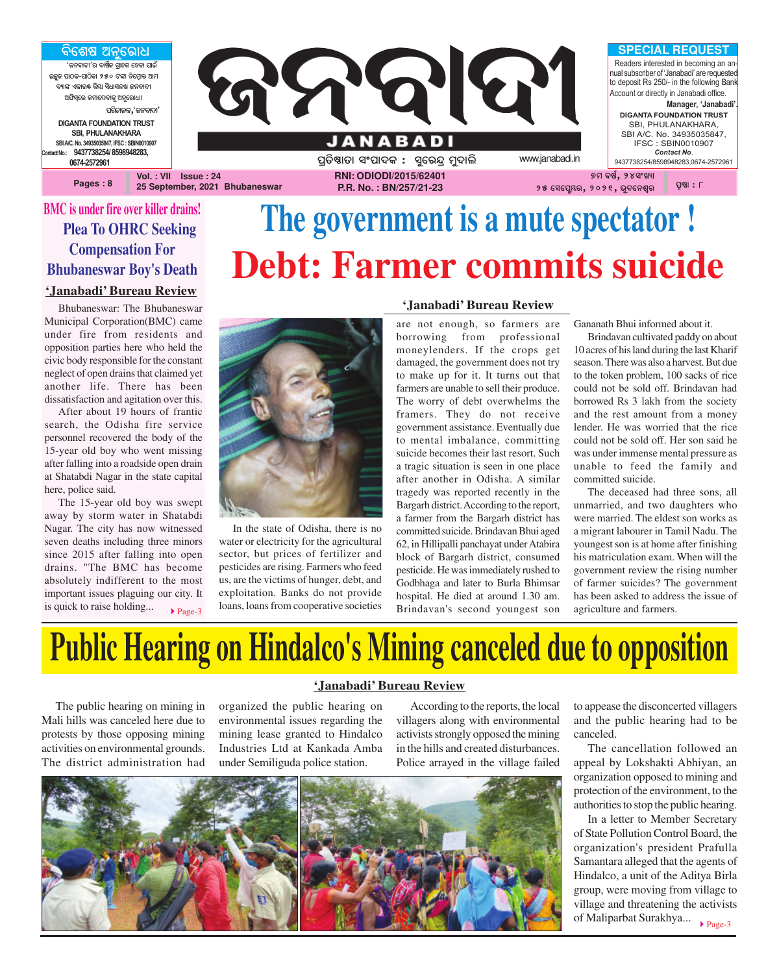ବିଶେଷ ଅନୁରୋଧ ,<br>'ଜନବାଦୀ'ର ବାର୍ଷିକ ଗାହକ ହେବା ପାଇଁ **AzêK \_ûVK-\_ûVòKû 250 Uuû ^òùcÜûq @ûc** ବ୍ୟାଙ୍କ ଏକାଉ<mark>ଛ୍</mark> କିୟା ସିଧାସଳଖ ଜନବାଦୀ **@`òi¨ùe Rcûù\aûKê @^êùeû]ö** ପରିଚାଳକ**,**'ଜନବାଦୀ' **DIGANTA FOUNDATION TRUST SBI, PHULANAKHARA** SBI A/C, No. 34935035847, IFSC : SBIN001090 **Contact No.: 9437738254/ 8598948283, 0674-2572961**

**Pages : 8**



**25 September, 2021 Bhubaneswar**

**P.R. No. : BN/257/21-23**

### **BMC is under fire over killer drains! Plea To OHRC Seeking Compensation For Bhubaneswar Boy's Death**

#### **'Janabadi' Bureau Review**

Bhubaneswar: The Bhubaneswar Municipal Corporation(BMC) came under fire from residents and opposition parties here who held the civic body responsible for the constant neglect of open drains that claimed yet another life. There has been dissatisfaction and agitation over this.

After about 19 hours of frantic search, the Odisha fire service personnel recovered the body of the 15-year old boy who went missing after falling into a roadside open drain at Shatabdi Nagar in the state capital here, police said.

The 15-year old boy was swept away by storm water in Shatabdi Nagar. The city has now witnessed seven deaths including three minors since 2015 after falling into open drains. "The BMC has become absolutely indifferent to the most important issues plaguing our city. It is quick to raise holding...

# **The government is a mute spectator ! Debt: Farmer commits suicide**



In the state of Odisha, there is no water or electricity for the agricultural sector, but prices of fertilizer and pesticides are rising. Farmers who feed us, are the victims of hunger, debt, and exploitation. Banks do not provide loans, loans from cooperative societies

### **'Janabadi' Bureau Review**

are not enough, so farmers are borrowing from professional moneylenders. If the crops get damaged, the government does not try to make up for it. It turns out that farmers are unable to sell their produce. The worry of debt overwhelms the framers. They do not receive government assistance. Eventually due to mental imbalance, committing suicide becomes their last resort. Such a tragic situation is seen in one place after another in Odisha. A similar tragedy was reported recently in the Bargarh district. According to the report, a farmer from the Bargarh district has committed suicide. Brindavan Bhui aged 62, in Hillipalli panchayat under Atabira block of Bargarh district, consumed pesticide. He was immediately rushed to Godbhaga and later to Burla Bhimsar hospital. He died at around 1.30 am. **Brindavan's second youngest son** agriculture and farmers.

Gananath Bhui informed about it.

Brindavan cultivated paddy on about 10 acres of his land during the last Kharif season. There was also a harvest. But due to the token problem, 100 sacks of rice could not be sold off. Brindavan had borrowed Rs 3 lakh from the society and the rest amount from a money lender. He was worried that the rice could not be sold off. Her son said he was under immense mental pressure as unable to feed the family and committed suicide.

The deceased had three sons, all unmarried, and two daughters who were married. The eldest son works as a migrant labourer in Tamil Nadu. The youngest son is at home after finishing his matriculation exam. When will the government review the rising number of farmer suicides? The government has been asked to address the issue of

# **Public Hearing on Hindalco's Mining canceled due to opposition**

**'Janabadi' Bureau Review**

The public hearing on mining in Mali hills was canceled here due to protests by those opposing mining activities on environmental grounds. The district administration had

organized the public hearing on environmental issues regarding the mining lease granted to Hindalco

According to the reports, the local villagers along with environmental activists strongly opposed the mining in the hills and created disturbances. Police arrayed in the village failed



Industries Ltd at Kankada Amba under Semiliguda police station.

to appease the disconcerted villagers and the public hearing had to be canceled.

The cancellation followed an appeal by Lokshakti Abhiyan, an organization opposed to mining and protection of the environment, to the authorities to stop the public hearing.

 $\blacktriangleright$  Page-3 In a letter to Member Secretary of State Pollution Control Board, the organization's president Prafulla Samantara alleged that the agents of Hindalco, a unit of the Aditya Birla group, were moving from village to village and threatening the activists of Maliparbat Surakhya...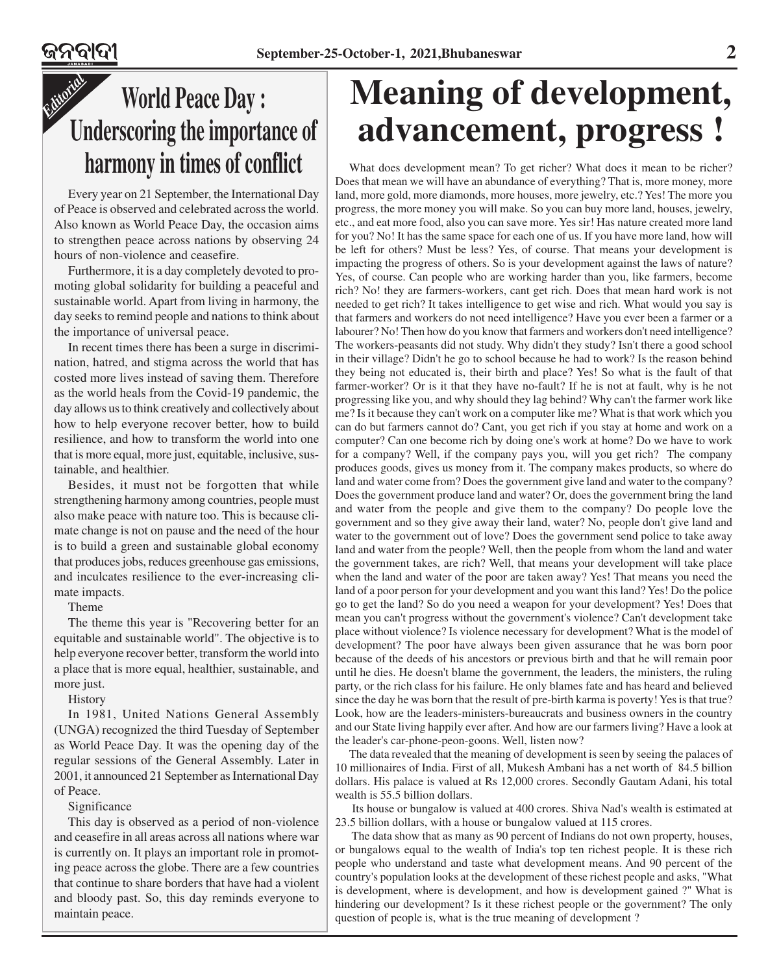### *Editorial* **World Peace Day : Underscoring the importance of harmony in times of conflict**

Every year on 21 September, the International Day of Peace is observed and celebrated across the world. Also known as World Peace Day, the occasion aims to strengthen peace across nations by observing 24 hours of non-violence and ceasefire.

Furthermore, it is a day completely devoted to promoting global solidarity for building a peaceful and sustainable world. Apart from living in harmony, the day seeks to remind people and nations to think about the importance of universal peace.

In recent times there has been a surge in discrimination, hatred, and stigma across the world that has costed more lives instead of saving them. Therefore as the world heals from the Covid-19 pandemic, the day allows us to think creatively and collectively about how to help everyone recover better, how to build resilience, and how to transform the world into one that is more equal, more just, equitable, inclusive, sustainable, and healthier.

Besides, it must not be forgotten that while strengthening harmony among countries, people must also make peace with nature too. This is because climate change is not on pause and the need of the hour is to build a green and sustainable global economy that produces jobs, reduces greenhouse gas emissions, and inculcates resilience to the ever-increasing climate impacts.

Theme

The theme this year is "Recovering better for an equitable and sustainable world". The objective is to help everyone recover better, transform the world into a place that is more equal, healthier, sustainable, and more just.

### **History**

In 1981, United Nations General Assembly (UNGA) recognized the third Tuesday of September as World Peace Day. It was the opening day of the regular sessions of the General Assembly. Later in 2001, it announced 21 September as International Day of Peace.

#### Significance

This day is observed as a period of non-violence and ceasefire in all areas across all nations where war is currently on. It plays an important role in promoting peace across the globe. There are a few countries that continue to share borders that have had a violent and bloody past. So, this day reminds everyone to maintain peace.

## **Meaning of development, advancement, progress !**

What does development mean? To get richer? What does it mean to be richer? Does that mean we will have an abundance of everything? That is, more money, more land, more gold, more diamonds, more houses, more jewelry, etc.? Yes! The more you progress, the more money you will make. So you can buy more land, houses, jewelry, etc., and eat more food, also you can save more. Yes sir! Has nature created more land for you? No! It has the same space for each one of us. If you have more land, how will be left for others? Must be less? Yes, of course. That means your development is impacting the progress of others. So is your development against the laws of nature? Yes, of course. Can people who are working harder than you, like farmers, become rich? No! they are farmers-workers, cant get rich. Does that mean hard work is not needed to get rich? It takes intelligence to get wise and rich. What would you say is that farmers and workers do not need intelligence? Have you ever been a farmer or a labourer? No! Then how do you know that farmers and workers don't need intelligence? The workers-peasants did not study. Why didn't they study? Isn't there a good school in their village? Didn't he go to school because he had to work? Is the reason behind they being not educated is, their birth and place? Yes! So what is the fault of that farmer-worker? Or is it that they have no-fault? If he is not at fault, why is he not progressing like you, and why should they lag behind? Why can't the farmer work like me? Is it because they can't work on a computer like me? What is that work which you can do but farmers cannot do? Cant, you get rich if you stay at home and work on a computer? Can one become rich by doing one's work at home? Do we have to work for a company? Well, if the company pays you, will you get rich? The company produces goods, gives us money from it. The company makes products, so where do land and water come from? Does the government give land and water to the company? Does the government produce land and water? Or, does the government bring the land and water from the people and give them to the company? Do people love the government and so they give away their land, water? No, people don't give land and water to the government out of love? Does the government send police to take away land and water from the people? Well, then the people from whom the land and water the government takes, are rich? Well, that means your development will take place when the land and water of the poor are taken away? Yes! That means you need the land of a poor person for your development and you want this land? Yes! Do the police go to get the land? So do you need a weapon for your development? Yes! Does that mean you can't progress without the government's violence? Can't development take place without violence? Is violence necessary for development? What is the model of development? The poor have always been given assurance that he was born poor because of the deeds of his ancestors or previous birth and that he will remain poor until he dies. He doesn't blame the government, the leaders, the ministers, the ruling party, or the rich class for his failure. He only blames fate and has heard and believed since the day he was born that the result of pre-birth karma is poverty! Yes is that true? Look, how are the leaders-ministers-bureaucrats and business owners in the country and our State living happily ever after. And how are our farmers living? Have a look at the leader's car-phone-peon-goons. Well, listen now?

The data revealed that the meaning of development is seen by seeing the palaces of 10 millionaires of India. First of all, Mukesh Ambani has a net worth of 84.5 billion dollars. His palace is valued at Rs 12,000 crores. Secondly Gautam Adani, his total wealth is 55.5 billion dollars.

 Its house or bungalow is valued at 400 crores. Shiva Nad's wealth is estimated at 23.5 billion dollars, with a house or bungalow valued at 115 crores.

The data show that as many as 90 percent of Indians do not own property, houses, or bungalows equal to the wealth of India's top ten richest people. It is these rich people who understand and taste what development means. And 90 percent of the country's population looks at the development of these richest people and asks, "What is development, where is development, and how is development gained ?" What is hindering our development? Is it these richest people or the government? The only question of people is, what is the true meaning of development ?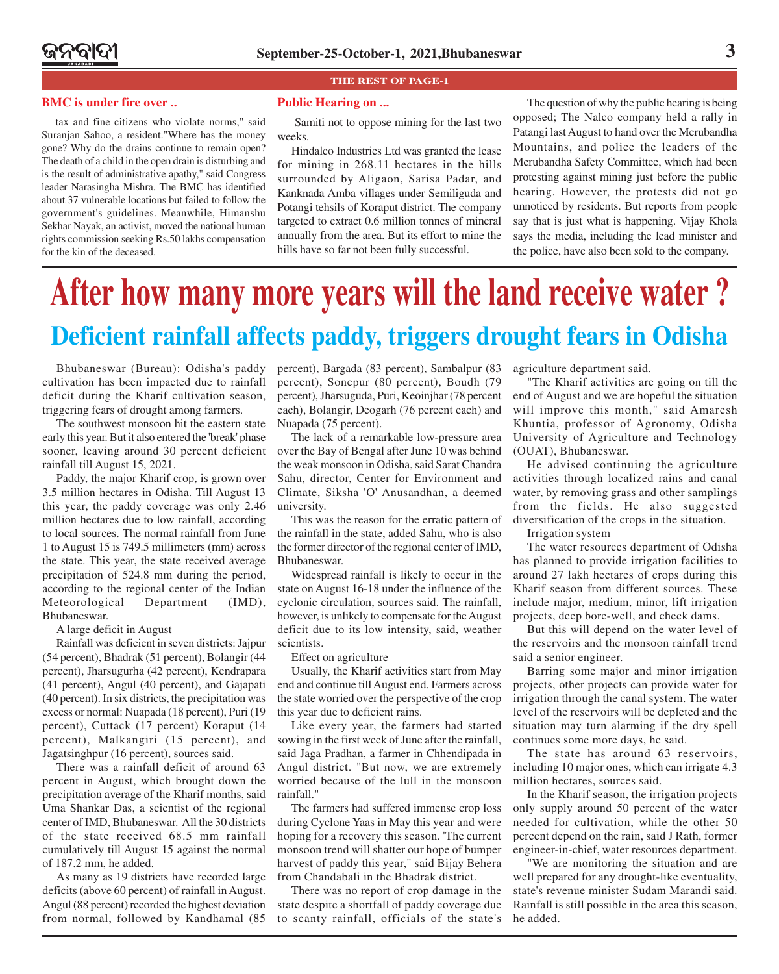#### **THE REST OF PAGE-1**

### **BMC is under fire over ..**  Public Hearing on ...

tax and fine citizens who violate norms," said Suranjan Sahoo, a resident."Where has the money gone? Why do the drains continue to remain open? The death of a child in the open drain is disturbing and is the result of administrative apathy," said Congress leader Narasingha Mishra. The BMC has identified about 37 vulnerable locations but failed to follow the government's guidelines. Meanwhile, Himanshu Sekhar Nayak, an activist, moved the national human rights commission seeking Rs.50 lakhs compensation for the kin of the deceased.

 Samiti not to oppose mining for the last two weeks.

Hindalco Industries Ltd was granted the lease for mining in 268.11 hectares in the hills surrounded by Aligaon, Sarisa Padar, and Kanknada Amba villages under Semiliguda and Potangi tehsils of Koraput district. The company targeted to extract 0.6 million tonnes of mineral annually from the area. But its effort to mine the hills have so far not been fully successful.

The question of why the public hearing is being opposed; The Nalco company held a rally in Patangi last August to hand over the Merubandha Mountains, and police the leaders of the Merubandha Safety Committee, which had been protesting against mining just before the public hearing. However, the protests did not go unnoticed by residents. But reports from people say that is just what is happening. Vijay Khola says the media, including the lead minister and the police, have also been sold to the company.

## **Deficient rainfall affects paddy, triggers drought fears in Odisha After how many more years will the land receive water ?**

Bhubaneswar (Bureau): Odisha's paddy cultivation has been impacted due to rainfall deficit during the Kharif cultivation season, triggering fears of drought among farmers.

The southwest monsoon hit the eastern state early this year. But it also entered the 'break' phase sooner, leaving around 30 percent deficient rainfall till August 15, 2021.

Paddy, the major Kharif crop, is grown over 3.5 million hectares in Odisha. Till August 13 this year, the paddy coverage was only 2.46 million hectares due to low rainfall, according to local sources. The normal rainfall from June 1 to August 15 is 749.5 millimeters (mm) across the state. This year, the state received average precipitation of 524.8 mm during the period, according to the regional center of the Indian Meteorological Department (IMD), Bhubaneswar.

A large deficit in August

Rainfall was deficient in seven districts: Jajpur (54 percent), Bhadrak (51 percent), Bolangir (44 percent), Jharsugurha (42 percent), Kendrapara (41 percent), Angul (40 percent), and Gajapati (40 percent). In six districts, the precipitation was excess or normal: Nuapada (18 percent), Puri (19 percent), Cuttack (17 percent) Koraput (14 percent), Malkangiri (15 percent), and Jagatsinghpur (16 percent), sources said.

There was a rainfall deficit of around 63 percent in August, which brought down the precipitation average of the Kharif months, said Uma Shankar Das, a scientist of the regional center of IMD, Bhubaneswar. All the 30 districts of the state received 68.5 mm rainfall cumulatively till August 15 against the normal of 187.2 mm, he added.

As many as 19 districts have recorded large deficits (above 60 percent) of rainfall in August. Angul (88 percent) recorded the highest deviation from normal, followed by Kandhamal (85

percent), Bargada (83 percent), Sambalpur (83 percent), Sonepur (80 percent), Boudh (79 percent), Jharsuguda, Puri, Keoinjhar (78 percent each), Bolangir, Deogarh (76 percent each) and Nuapada (75 percent).

The lack of a remarkable low-pressure area over the Bay of Bengal after June 10 was behind the weak monsoon in Odisha, said Sarat Chandra Sahu, director, Center for Environment and Climate, Siksha 'O' Anusandhan, a deemed university.

This was the reason for the erratic pattern of the rainfall in the state, added Sahu, who is also the former director of the regional center of IMD, Bhubaneswar.

Widespread rainfall is likely to occur in the state on August 16-18 under the influence of the cyclonic circulation, sources said. The rainfall, however, is unlikely to compensate for the August deficit due to its low intensity, said, weather scientists.

Effect on agriculture

Usually, the Kharif activities start from May end and continue till August end. Farmers across the state worried over the perspective of the crop this year due to deficient rains.

Like every year, the farmers had started sowing in the first week of June after the rainfall, said Jaga Pradhan, a farmer in Chhendipada in Angul district. "But now, we are extremely worried because of the lull in the monsoon rainfall."

The farmers had suffered immense crop loss during Cyclone Yaas in May this year and were hoping for a recovery this season. 'The current monsoon trend will shatter our hope of bumper harvest of paddy this year," said Bijay Behera from Chandabali in the Bhadrak district.

There was no report of crop damage in the state despite a shortfall of paddy coverage due to scanty rainfall, officials of the state's agriculture department said.

"The Kharif activities are going on till the end of August and we are hopeful the situation will improve this month," said Amaresh Khuntia, professor of Agronomy, Odisha University of Agriculture and Technology (OUAT), Bhubaneswar.

He advised continuing the agriculture activities through localized rains and canal water, by removing grass and other samplings from the fields. He also suggested diversification of the crops in the situation.

Irrigation system

The water resources department of Odisha has planned to provide irrigation facilities to around 27 lakh hectares of crops during this Kharif season from different sources. These include major, medium, minor, lift irrigation projects, deep bore-well, and check dams.

But this will depend on the water level of the reservoirs and the monsoon rainfall trend said a senior engineer.

Barring some major and minor irrigation projects, other projects can provide water for irrigation through the canal system. The water level of the reservoirs will be depleted and the situation may turn alarming if the dry spell continues some more days, he said.

The state has around 63 reservoirs, including 10 major ones, which can irrigate 4.3 million hectares, sources said.

In the Kharif season, the irrigation projects only supply around 50 percent of the water needed for cultivation, while the other 50 percent depend on the rain, said J Rath, former engineer-in-chief, water resources department.

"We are monitoring the situation and are well prepared for any drought-like eventuality, state's revenue minister Sudam Marandi said. Rainfall is still possible in the area this season, he added.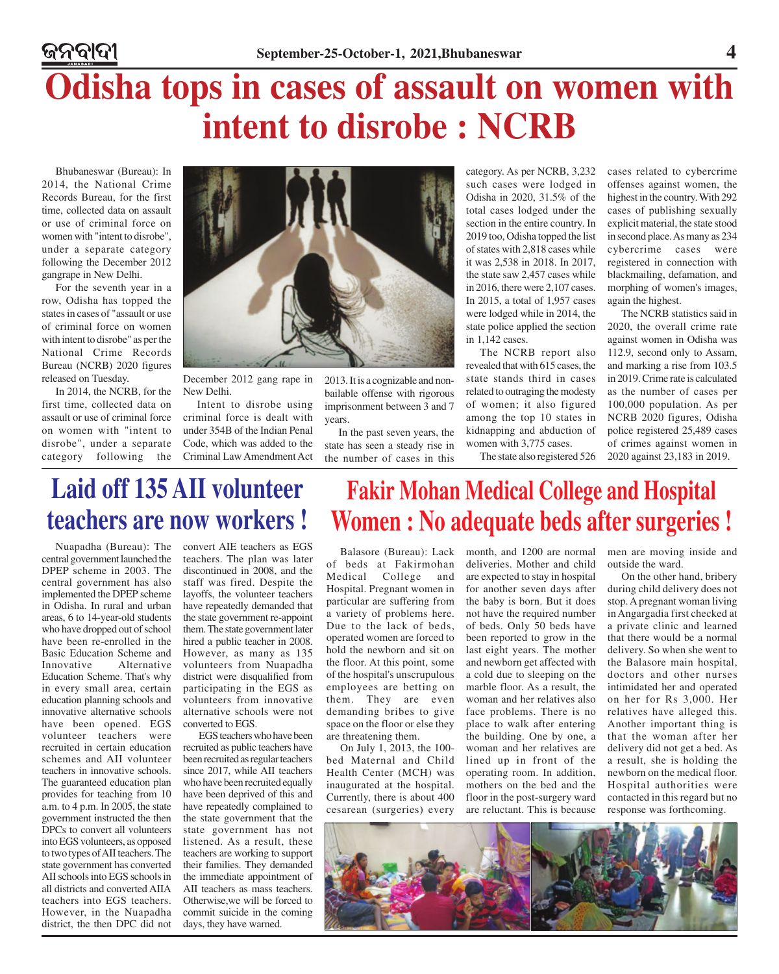# **Odisha tops in cases of assault on women with intent to disrobe : NCRB**

Bhubaneswar (Bureau): In 2014, the National Crime Records Bureau, for the first time, collected data on assault or use of criminal force on women with "intent to disrobe", under a separate category following the December 2012 gangrape in New Delhi.

ଜନବାଦୀ

For the seventh year in a row, Odisha has topped the states in cases of "assault or use of criminal force on women with intent to disrobe" as per the National Crime Records Bureau (NCRB) 2020 figures released on Tuesday.

In 2014, the NCRB, for the first time, collected data on assault or use of criminal force criminal force is dealt with on women with "intent to disrobe", under a separate category following the Criminal Law Amendment Act



December 2012 gang rape in New Delhi.

Intent to disrobe using under 354B of the Indian Penal Code, which was added to the 2013. It is a cognizable and nonbailable offense with rigorous imprisonment between 3 and 7 years.

In the past seven years, the state has seen a steady rise in the number of cases in this

category. As per NCRB, 3,232 such cases were lodged in Odisha in 2020, 31.5% of the total cases lodged under the section in the entire country. In 2019 too, Odisha topped the list of states with 2,818 cases while it was 2,538 in 2018. In 2017, the state saw 2,457 cases while in 2016, there were 2,107 cases. In 2015, a total of 1,957 cases were lodged while in 2014, the state police applied the section in 1,142 cases.

The NCRB report also revealed that with 615 cases, the state stands third in cases related to outraging the modesty of women; it also figured among the top 10 states in kidnapping and abduction of women with 3,775 cases.

The state also registered 526

cases related to cybercrime offenses against women, the highest in the country. With 292 cases of publishing sexually explicit material, the state stood in second place. As many as 234 cybercrime cases were registered in connection with blackmailing, defamation, and morphing of women's images, again the highest.

The NCRB statistics said in 2020, the overall crime rate against women in Odisha was 112.9, second only to Assam, and marking a rise from 103.5 in 2019. Crime rate is calculated as the number of cases per 100,000 population. As per NCRB 2020 figures, Odisha police registered 25,489 cases of crimes against women in 2020 against 23,183 in 2019.

### **Laid off 135 AII volunteer teachers are now workers !**

Nuapadha (Bureau): The central government launched the DPEP scheme in 2003. The central government has also implemented the DPEP scheme in Odisha. In rural and urban areas, 6 to 14-year-old students who have dropped out of school have been re-enrolled in the Basic Education Scheme and Innovative Alternative Education Scheme. That's why in every small area, certain education planning schools and innovative alternative schools have been opened. EGS volunteer teachers were recruited in certain education schemes and AII volunteer teachers in innovative schools. The guaranteed education plan provides for teaching from 10 a.m. to 4 p.m. In 2005, the state government instructed the then DPCs to convert all volunteers into EGS volunteers, as opposed to two types of AII teachers. The state government has converted AII schools into EGS schools in all districts and converted AIIA teachers into EGS teachers. However, in the Nuapadha district, the then DPC did not

convert AIE teachers as EGS teachers. The plan was later discontinued in 2008, and the staff was fired. Despite the layoffs, the volunteer teachers have repeatedly demanded that the state government re-appoint them. The state government later hired a public teacher in 2008. However, as many as 135 volunteers from Nuapadha district were disqualified from participating in the EGS as volunteers from innovative alternative schools were not converted to EGS.

 EGS teachers who have been recruited as public teachers have been recruited as regular teachers since 2017, while AII teachers who have been recruited equally have been deprived of this and have repeatedly complained to the state government that the state government has not listened. As a result, these teachers are working to support their families. They demanded the immediate appointment of AII teachers as mass teachers. Otherwise,we will be forced to commit suicide in the coming days, they have warned.

### **Fakir Mohan Medical College and Hospital Women : No adequate beds after surgeries !**

Balasore (Bureau): Lack of beds at Fakirmohan Medical College and Hospital. Pregnant women in particular are suffering from a variety of problems here. Due to the lack of beds, operated women are forced to hold the newborn and sit on the floor. At this point, some of the hospital's unscrupulous employees are betting on them. They are even demanding bribes to give space on the floor or else they are threatening them.

On July 1, 2013, the 100 bed Maternal and Child Health Center (MCH) was inaugurated at the hospital. Currently, there is about 400 cesarean (surgeries) every

month, and 1200 are normal deliveries. Mother and child are expected to stay in hospital for another seven days after the baby is born. But it does not have the required number of beds. Only 50 beds have been reported to grow in the last eight years. The mother and newborn get affected with a cold due to sleeping on the marble floor. As a result, the woman and her relatives also face problems. There is no place to walk after entering the building. One by one, a woman and her relatives are lined up in front of the operating room. In addition, mothers on the bed and the floor in the post-surgery ward are reluctant. This is because

men are moving inside and outside the ward.

On the other hand, bribery during child delivery does not stop. A pregnant woman living in Angargadia first checked at a private clinic and learned that there would be a normal delivery. So when she went to the Balasore main hospital, doctors and other nurses intimidated her and operated on her for Rs 3,000. Her relatives have alleged this. Another important thing is that the woman after her delivery did not get a bed. As a result, she is holding the newborn on the medical floor. Hospital authorities were contacted in this regard but no response was forthcoming.

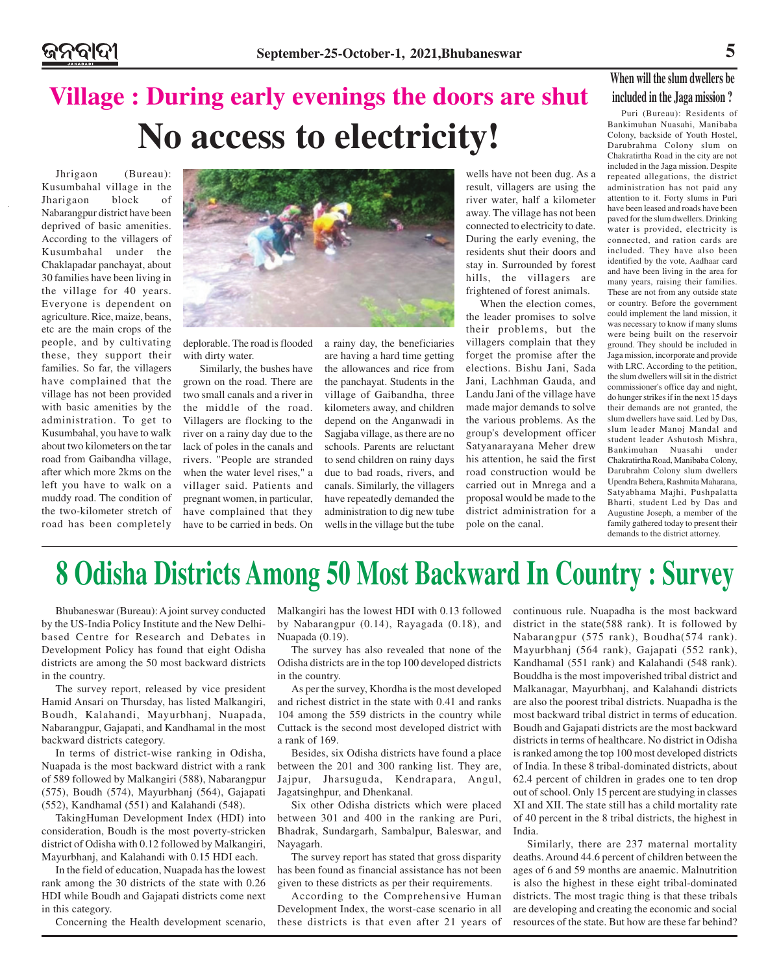### **Village : During early evenings the doors are shut No access to electricity!**

Jhrigaon (Bureau): Kusumbahal village in the Jharigaon block of Nabarangpur district have been deprived of basic amenities. According to the villagers of Kusumbahal under the Chaklapadar panchayat, about 30 families have been living in the village for 40 years. Everyone is dependent on agriculture. Rice, maize, beans, etc are the main crops of the people, and by cultivating these, they support their families. So far, the villagers have complained that the village has not been provided with basic amenities by the administration. To get to Kusumbahal, you have to walk about two kilometers on the tar road from Gaibandha village, after which more 2kms on the left you have to walk on a muddy road. The condition of the two-kilometer stretch of road has been completely



deplorable. The road is flooded with dirty water.

 Similarly, the bushes have grown on the road. There are two small canals and a river in the middle of the road. Villagers are flocking to the river on a rainy day due to the lack of poles in the canals and rivers. "People are stranded when the water level rises," a villager said. Patients and pregnant women, in particular, have complained that they have to be carried in beds. On a rainy day, the beneficiaries are having a hard time getting the allowances and rice from the panchayat. Students in the village of Gaibandha, three kilometers away, and children depend on the Anganwadi in Sagjaba village, as there are no schools. Parents are reluctant to send children on rainy days due to bad roads, rivers, and canals. Similarly, the villagers have repeatedly demanded the administration to dig new tube wells in the village but the tube

wells have not been dug. As a result, villagers are using the river water, half a kilometer away. The village has not been connected to electricity to date. During the early evening, the residents shut their doors and stay in. Surrounded by forest hills, the villagers are frightened of forest animals.

When the election comes, the leader promises to solve their problems, but the villagers complain that they forget the promise after the elections. Bishu Jani, Sada Jani, Lachhman Gauda, and Landu Jani of the village have made major demands to solve the various problems. As the group's development officer Satyanarayana Meher drew his attention, he said the first road construction would be carried out in Mnrega and a proposal would be made to the district administration for a pole on the canal.

### **When will the slum dwellers be included in the Jaga mission ?**

Puri (Bureau): Residents of Bankimuhan Nuasahi, Manibaba Colony, backside of Youth Hostel, Darubrahma Colony slum on Chakratirtha Road in the city are not included in the Jaga mission. Despite repeated allegations, the district administration has not paid any attention to it. Forty slums in Puri have been leased and roads have been paved for the slum dwellers. Drinking water is provided, electricity is connected, and ration cards are included. They have also been identified by the vote, Aadhaar card and have been living in the area for many years, raising their families. These are not from any outside state or country. Before the government could implement the land mission, it was necessary to know if many slums were being built on the reservoir ground. They should be included in Jaga mission, incorporate and provide with LRC. According to the petition, the slum dwellers will sit in the district commissioner's office day and night, do hunger strikes if in the next 15 days their demands are not granted, the slum dwellers have said. Led by Das, slum leader Manoj Mandal and student leader Ashutosh Mishra, Bankimuhan Nuasahi under Chakratirtha Road, Manibaba Colony, Darubrahm Colony slum dwellers Upendra Behera, Rashmita Maharana, Satyabhama Majhi, Pushpalatta Bharti, student Led by Das and Augustine Joseph, a member of the family gathered today to present their demands to the district attorney.

## **8 Odisha Districts Among 50 Most Backward In Country : Survey**

Bhubaneswar (Bureau): A joint survey conducted by the US-India Policy Institute and the New Delhibased Centre for Research and Debates in Development Policy has found that eight Odisha districts are among the 50 most backward districts in the country.

The survey report, released by vice president Hamid Ansari on Thursday, has listed Malkangiri, Boudh, Kalahandi, Mayurbhanj, Nuapada, Nabarangpur, Gajapati, and Kandhamal in the most backward districts category.

In terms of district-wise ranking in Odisha, Nuapada is the most backward district with a rank of 589 followed by Malkangiri (588), Nabarangpur (575), Boudh (574), Mayurbhanj (564), Gajapati (552), Kandhamal (551) and Kalahandi (548).

TakingHuman Development Index (HDI) into consideration, Boudh is the most poverty-stricken district of Odisha with 0.12 followed by Malkangiri, Mayurbhanj, and Kalahandi with 0.15 HDI each.

In the field of education, Nuapada has the lowest rank among the 30 districts of the state with 0.26 HDI while Boudh and Gajapati districts come next in this category.

Concerning the Health development scenario,

Malkangiri has the lowest HDI with 0.13 followed by Nabarangpur (0.14), Rayagada (0.18), and Nuapada (0.19).

The survey has also revealed that none of the Odisha districts are in the top 100 developed districts in the country.

As per the survey, Khordha is the most developed and richest district in the state with 0.41 and ranks 104 among the 559 districts in the country while Cuttack is the second most developed district with a rank of 169.

Besides, six Odisha districts have found a place between the 201 and 300 ranking list. They are, Jajpur, Jharsuguda, Kendrapara, Angul, Jagatsinghpur, and Dhenkanal.

Six other Odisha districts which were placed between 301 and 400 in the ranking are Puri, Bhadrak, Sundargarh, Sambalpur, Baleswar, and Nayagarh.

The survey report has stated that gross disparity has been found as financial assistance has not been given to these districts as per their requirements.

According to the Comprehensive Human Development Index, the worst-case scenario in all these districts is that even after 21 years of continuous rule. Nuapadha is the most backward district in the state(588 rank). It is followed by Nabarangpur (575 rank), Boudha(574 rank). Mayurbhanj (564 rank), Gajapati (552 rank), Kandhamal (551 rank) and Kalahandi (548 rank). Bouddha is the most impoverished tribal district and Malkanagar, Mayurbhanj, and Kalahandi districts are also the poorest tribal districts. Nuapadha is the most backward tribal district in terms of education. Boudh and Gajapati districts are the most backward districts in terms of healthcare. No district in Odisha is ranked among the top 100 most developed districts of India. In these 8 tribal-dominated districts, about 62.4 percent of children in grades one to ten drop out of school. Only 15 percent are studying in classes XI and XII. The state still has a child mortality rate of 40 percent in the 8 tribal districts, the highest in India.

Similarly, there are 237 maternal mortality deaths. Around 44.6 percent of children between the ages of 6 and 59 months are anaemic. Malnutrition is also the highest in these eight tribal-dominated districts. The most tragic thing is that these tribals are developing and creating the economic and social resources of the state. But how are these far behind?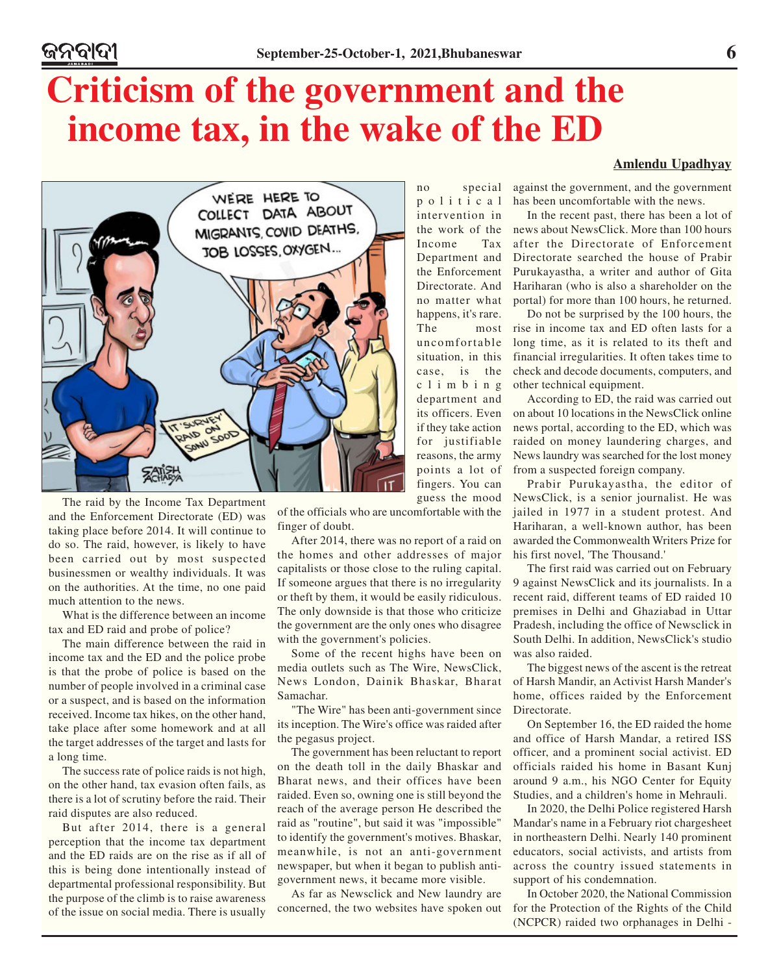political intervention in the work of the Income Tax Department and the Enforcement Directorate. And no matter what happens, it's rare. The most uncomfortable situation, in this case, is the climbing department and its officers. Even if they take action for justifiable reasons, the army points a lot of fingers. You can guess the mood

## **Criticism of the government and the income tax, in the wake of the ED**

# WE'RE HERE TO COLLECT DATA ABOUT MIGRANTS, COVID DEATHS, **JOB LOSSES, OXYGEN...**  $\tilde{z}$ SOOT **ZAIK**

The raid by the Income Tax Department and the Enforcement Directorate (ED) was taking place before 2014. It will continue to do so. The raid, however, is likely to have been carried out by most suspected businessmen or wealthy individuals. It was on the authorities. At the time, no one paid much attention to the news.

What is the difference between an income tax and ED raid and probe of police?

The main difference between the raid in income tax and the ED and the police probe is that the probe of police is based on the number of people involved in a criminal case or a suspect, and is based on the information received. Income tax hikes, on the other hand, take place after some homework and at all the target addresses of the target and lasts for a long time.

The success rate of police raids is not high, on the other hand, tax evasion often fails, as there is a lot of scrutiny before the raid. Their raid disputes are also reduced.

But after 2014, there is a general perception that the income tax department and the ED raids are on the rise as if all of this is being done intentionally instead of departmental professional responsibility. But the purpose of the climb is to raise awareness of the issue on social media. There is usually of the officials who are uncomfortable with the finger of doubt.

After 2014, there was no report of a raid on the homes and other addresses of major capitalists or those close to the ruling capital. If someone argues that there is no irregularity or theft by them, it would be easily ridiculous. The only downside is that those who criticize the government are the only ones who disagree with the government's policies.

Some of the recent highs have been on media outlets such as The Wire, NewsClick, News London, Dainik Bhaskar, Bharat Samachar.

"The Wire" has been anti-government since its inception. The Wire's office was raided after the pegasus project.

The government has been reluctant to report on the death toll in the daily Bhaskar and Bharat news, and their offices have been raided. Even so, owning one is still beyond the reach of the average person He described the raid as "routine", but said it was "impossible" to identify the government's motives. Bhaskar, meanwhile, is not an anti-government newspaper, but when it began to publish antigovernment news, it became more visible.

As far as Newsclick and New laundry are concerned, the two websites have spoken out

### **Amlendu Upadhyay**

no special against the government, and the government has been uncomfortable with the news.

> In the recent past, there has been a lot of news about NewsClick. More than 100 hours after the Directorate of Enforcement Directorate searched the house of Prabir Purukayastha, a writer and author of Gita Hariharan (who is also a shareholder on the portal) for more than 100 hours, he returned.

> Do not be surprised by the 100 hours, the rise in income tax and ED often lasts for a long time, as it is related to its theft and financial irregularities. It often takes time to check and decode documents, computers, and other technical equipment.

> According to ED, the raid was carried out on about 10 locations in the NewsClick online news portal, according to the ED, which was raided on money laundering charges, and News laundry was searched for the lost money from a suspected foreign company.

> Prabir Purukayastha, the editor of NewsClick, is a senior journalist. He was jailed in 1977 in a student protest. And Hariharan, a well-known author, has been awarded the Commonwealth Writers Prize for his first novel, 'The Thousand.'

> The first raid was carried out on February 9 against NewsClick and its journalists. In a recent raid, different teams of ED raided 10 premises in Delhi and Ghaziabad in Uttar Pradesh, including the office of Newsclick in South Delhi. In addition, NewsClick's studio was also raided.

> The biggest news of the ascent is the retreat of Harsh Mandir, an Activist Harsh Mander's home, offices raided by the Enforcement Directorate.

> On September 16, the ED raided the home and office of Harsh Mandar, a retired ISS officer, and a prominent social activist. ED officials raided his home in Basant Kunj around 9 a.m., his NGO Center for Equity Studies, and a children's home in Mehrauli.

> In 2020, the Delhi Police registered Harsh Mandar's name in a February riot chargesheet in northeastern Delhi. Nearly 140 prominent educators, social activists, and artists from across the country issued statements in support of his condemnation.

> In October 2020, the National Commission for the Protection of the Rights of the Child (NCPCR) raided two orphanages in Delhi -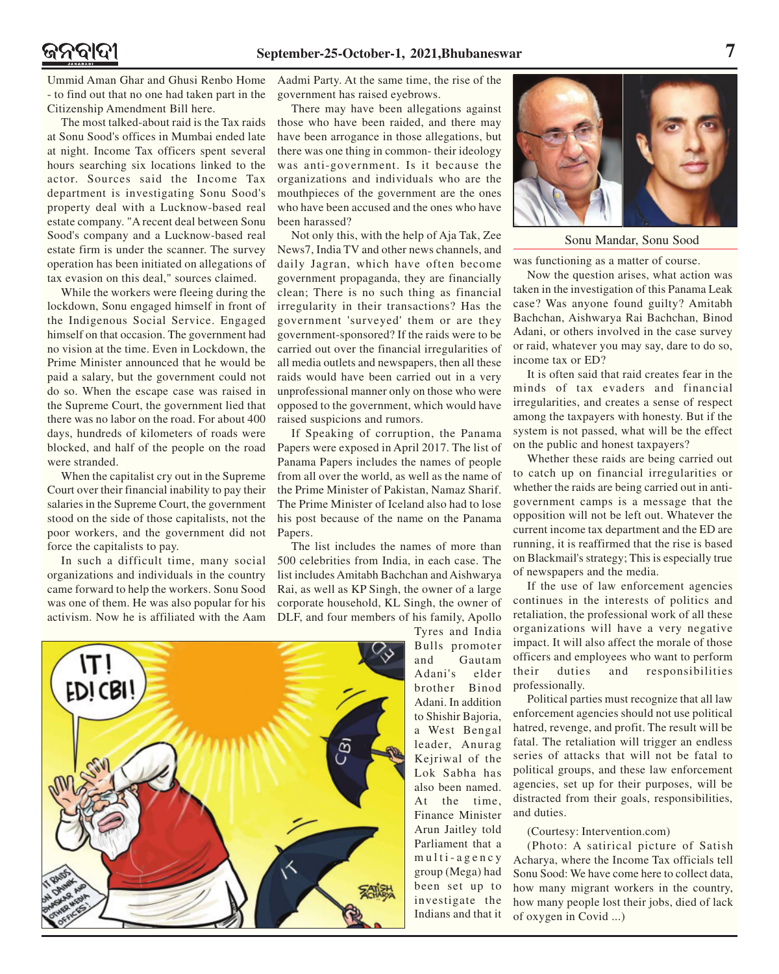Ummid Aman Ghar and Ghusi Renbo Home - to find out that no one had taken part in the Citizenship Amendment Bill here.

The most talked-about raid is the Tax raids at Sonu Sood's offices in Mumbai ended late at night. Income Tax officers spent several hours searching six locations linked to the actor. Sources said the Income Tax department is investigating Sonu Sood's property deal with a Lucknow-based real estate company. "A recent deal between Sonu Sood's company and a Lucknow-based real estate firm is under the scanner. The survey operation has been initiated on allegations of tax evasion on this deal," sources claimed.

While the workers were fleeing during the lockdown, Sonu engaged himself in front of the Indigenous Social Service. Engaged himself on that occasion. The government had no vision at the time. Even in Lockdown, the Prime Minister announced that he would be paid a salary, but the government could not do so. When the escape case was raised in the Supreme Court, the government lied that there was no labor on the road. For about 400 days, hundreds of kilometers of roads were blocked, and half of the people on the road were stranded.

When the capitalist cry out in the Supreme Court over their financial inability to pay their salaries in the Supreme Court, the government stood on the side of those capitalists, not the poor workers, and the government did not force the capitalists to pay.

In such a difficult time, many social organizations and individuals in the country came forward to help the workers. Sonu Sood was one of them. He was also popular for his activism. Now he is affiliated with the Aam

Aadmi Party. At the same time, the rise of the government has raised eyebrows.

There may have been allegations against those who have been raided, and there may have been arrogance in those allegations, but there was one thing in common- their ideology was anti-government. Is it because the organizations and individuals who are the mouthpieces of the government are the ones who have been accused and the ones who have been harassed?

Not only this, with the help of Aja Tak, Zee News7, India TV and other news channels, and daily Jagran, which have often become government propaganda, they are financially clean; There is no such thing as financial irregularity in their transactions? Has the government 'surveyed' them or are they government-sponsored? If the raids were to be carried out over the financial irregularities of all media outlets and newspapers, then all these raids would have been carried out in a very unprofessional manner only on those who were opposed to the government, which would have raised suspicions and rumors.

If Speaking of corruption, the Panama Papers were exposed in April 2017. The list of Panama Papers includes the names of people from all over the world, as well as the name of the Prime Minister of Pakistan, Namaz Sharif. The Prime Minister of Iceland also had to lose his post because of the name on the Panama Papers.

The list includes the names of more than 500 celebrities from India, in each case. The list includes Amitabh Bachchan and Aishwarya Rai, as well as KP Singh, the owner of a large corporate household, KL Singh, the owner of DLF, and four members of his family, Apollo



Tyres and India Bulls promoter and Gautam Adani's elder brother Binod Adani. In addition to Shishir Bajoria, a West Bengal leader, Anurag Kejriwal of the Lok Sabha has also been named. At the time, Finance Minister Arun Jaitley told Parliament that a multi-agency group (Mega) had been set up to investigate the Indians and that it



Sonu Mandar, Sonu Sood

was functioning as a matter of course.

Now the question arises, what action was taken in the investigation of this Panama Leak case? Was anyone found guilty? Amitabh Bachchan, Aishwarya Rai Bachchan, Binod Adani, or others involved in the case survey or raid, whatever you may say, dare to do so, income tax or ED?

It is often said that raid creates fear in the minds of tax evaders and financial irregularities, and creates a sense of respect among the taxpayers with honesty. But if the system is not passed, what will be the effect on the public and honest taxpayers?

Whether these raids are being carried out to catch up on financial irregularities or whether the raids are being carried out in antigovernment camps is a message that the opposition will not be left out. Whatever the current income tax department and the ED are running, it is reaffirmed that the rise is based on Blackmail's strategy; This is especially true of newspapers and the media.

If the use of law enforcement agencies continues in the interests of politics and retaliation, the professional work of all these organizations will have a very negative impact. It will also affect the morale of those officers and employees who want to perform their duties and responsibilities professionally.

Political parties must recognize that all law enforcement agencies should not use political hatred, revenge, and profit. The result will be fatal. The retaliation will trigger an endless series of attacks that will not be fatal to political groups, and these law enforcement agencies, set up for their purposes, will be distracted from their goals, responsibilities, and duties.

#### (Courtesy: Intervention.com)

(Photo: A satirical picture of Satish Acharya, where the Income Tax officials tell Sonu Sood: We have come here to collect data, how many migrant workers in the country, how many people lost their jobs, died of lack of oxygen in Covid ...)